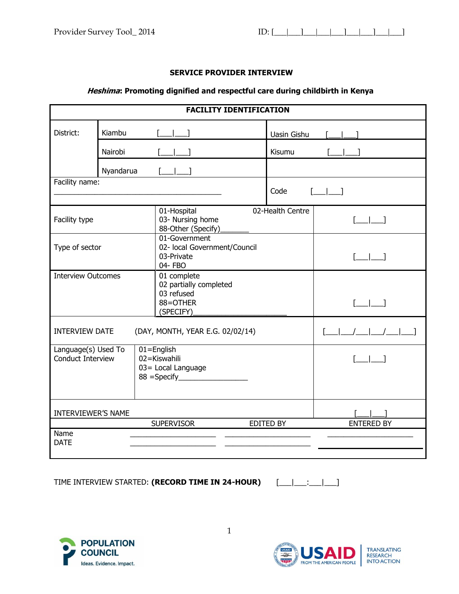### **SERVICE PROVIDER INTERVIEW**

# **Heshima: Promoting dignified and respectful care during childbirth in Kenya**

|                                                 |           |  | <b>FACILITY IDENTIFICATION</b>                                               |                  |                                                                                                                                                        |
|-------------------------------------------------|-----------|--|------------------------------------------------------------------------------|------------------|--------------------------------------------------------------------------------------------------------------------------------------------------------|
| District:                                       | Kiambu    |  |                                                                              | Uasin Gishu      |                                                                                                                                                        |
|                                                 | Nairobi   |  |                                                                              | Kisumu           |                                                                                                                                                        |
|                                                 | Nyandarua |  |                                                                              |                  |                                                                                                                                                        |
| Facility name:                                  |           |  |                                                                              | Code             | $\sqrt{2}$                                                                                                                                             |
| Facility type                                   |           |  | 01-Hospital<br>03- Nursing home<br>88-Other (Specify)                        | 02-Health Centre | $\begin{array}{ccc} \begin{array}{ccc} \end{array} & \begin{array}{ccc} \end{array} & \begin{array}{ccc} \end{array} \end{array}$                      |
| Type of sector                                  |           |  | 01-Government<br>02- local Government/Council<br>03-Private<br>04- FBO       |                  |                                                                                                                                                        |
| <b>Interview Outcomes</b>                       |           |  | 01 complete<br>02 partially completed<br>03 refused<br>88=OTHER<br>(SPECIFY) |                  | $\begin{array}{ccc} \begin{array}{ccc} \end{array} & \begin{array}{ccc} \end{array} & \begin{array}{ccc} \end{array} & \begin{array}{ccc} \end{array}$ |
| <b>INTERVIEW DATE</b>                           |           |  | (DAY, MONTH, YEAR E.G. 02/02/14)                                             |                  | $\begin{bmatrix} 1 & 1 \\ 1 & 1 \end{bmatrix}$                                                                                                         |
| Language(s) Used To<br><b>Conduct Interview</b> |           |  | $01 =$ English<br>02=Kiswahili<br>03= Local Language                         |                  |                                                                                                                                                        |
| <b>INTERVIEWER'S NAME</b>                       |           |  |                                                                              |                  |                                                                                                                                                        |
|                                                 |           |  | <b>SUPERVISOR</b>                                                            | <b>EDITED BY</b> | <b>ENTERED BY</b>                                                                                                                                      |
| Name<br><b>DATE</b>                             |           |  |                                                                              |                  |                                                                                                                                                        |

TIME INTERVIEW STARTED: **(RECORD TIME IN 24-HOUR)** [\_\_\_|\_\_\_:\_\_\_|\_\_\_]





1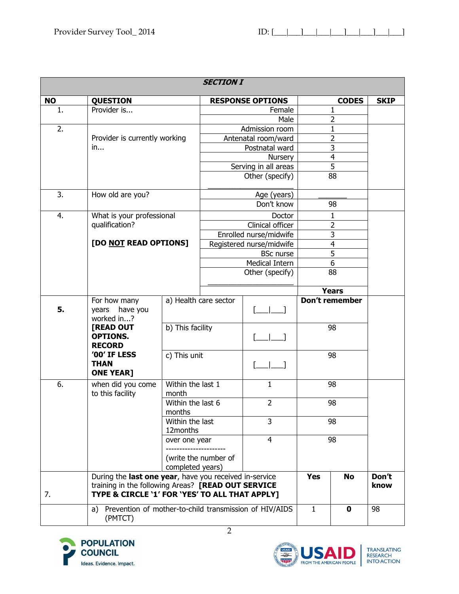| <b>SECTION I</b> |                                                                                                                                                                |                             |                      |                          |              |                         |               |
|------------------|----------------------------------------------------------------------------------------------------------------------------------------------------------------|-----------------------------|----------------------|--------------------------|--------------|-------------------------|---------------|
| <b>NO</b>        | <b>QUESTION</b>                                                                                                                                                |                             |                      | <b>RESPONSE OPTIONS</b>  |              | <b>CODES</b>            | <b>SKIP</b>   |
| 1.               | Provider is                                                                                                                                                    |                             |                      | Female                   |              | 1                       |               |
|                  |                                                                                                                                                                |                             | Male                 |                          |              | 2                       |               |
| 2.               |                                                                                                                                                                |                             |                      | Admission room           |              | 1                       |               |
|                  | Provider is currently working                                                                                                                                  |                             |                      | Antenatal room/ward      |              | $\overline{2}$          |               |
|                  | in                                                                                                                                                             |                             |                      | Postnatal ward           |              | $\overline{3}$          |               |
|                  |                                                                                                                                                                |                             |                      | Nursery                  |              | $\overline{4}$          |               |
|                  |                                                                                                                                                                |                             |                      | Serving in all areas     |              | $\overline{5}$          |               |
|                  |                                                                                                                                                                |                             |                      | Other (specify)          |              | 88                      |               |
| 3.               | How old are you?                                                                                                                                               |                             |                      | Age (years)              |              |                         |               |
|                  |                                                                                                                                                                |                             |                      | Don't know               |              | 98                      |               |
| 4.               | What is your professional                                                                                                                                      |                             |                      | Doctor                   |              | $\mathbf{1}$            |               |
|                  | qualification?                                                                                                                                                 |                             |                      | Clinical officer         |              | $\overline{2}$          |               |
|                  |                                                                                                                                                                |                             |                      | Enrolled nurse/midwife   |              | $\overline{3}$          |               |
|                  | [DO NOT READ OPTIONS]                                                                                                                                          |                             |                      | Registered nurse/midwife |              | $\overline{\mathbf{4}}$ |               |
|                  |                                                                                                                                                                |                             | <b>BSc nurse</b>     |                          |              | $\overline{5}$          |               |
|                  |                                                                                                                                                                |                             |                      | Medical Intern           |              | $\overline{6}$          |               |
|                  |                                                                                                                                                                |                             | Other (specify)      |                          | 88           |                         |               |
|                  |                                                                                                                                                                |                             |                      |                          |              | <b>Years</b>            |               |
|                  | For how many                                                                                                                                                   | a) Health care sector       |                      |                          |              | Don't remember          |               |
| 5.               | years have you                                                                                                                                                 |                             |                      |                          |              |                         |               |
|                  | worked in?<br>[READ OUT                                                                                                                                        |                             |                      |                          |              | 98                      |               |
|                  | <b>OPTIONS.</b>                                                                                                                                                | b) This facility            |                      |                          |              |                         |               |
|                  | <b>RECORD</b>                                                                                                                                                  |                             |                      |                          |              |                         |               |
|                  | '00' IF LESS                                                                                                                                                   | c) This unit                |                      |                          |              | 98                      |               |
|                  | <b>THAN</b>                                                                                                                                                    |                             |                      |                          |              |                         |               |
|                  | <b>ONE YEAR]</b>                                                                                                                                               |                             |                      |                          |              |                         |               |
| 6.               | when did you come                                                                                                                                              | Within the last 1           |                      | 1                        |              | 98                      |               |
|                  | to this facility                                                                                                                                               | month                       |                      |                          |              |                         |               |
|                  |                                                                                                                                                                | Within the last 6           |                      | 2                        | 98           |                         |               |
|                  |                                                                                                                                                                | months                      |                      |                          |              |                         |               |
|                  |                                                                                                                                                                | Within the last<br>12months |                      | 3                        |              | 98                      |               |
|                  | over one year<br>completed years)                                                                                                                              |                             |                      | 4                        |              | 98                      |               |
|                  |                                                                                                                                                                |                             | (write the number of |                          |              |                         |               |
| 7.               | During the last one year, have you received in-service<br>training in the following Areas? [READ OUT SERVICE<br>TYPE & CIRCLE '1' FOR 'YES' TO ALL THAT APPLY] |                             |                      |                          | <b>Yes</b>   | <b>No</b>               | Don't<br>know |
|                  | Prevention of mother-to-child transmission of HIV/AIDS<br>a)<br>(PMTCT)                                                                                        |                             |                      |                          | $\mathbf{1}$ | $\mathbf 0$             | 98            |



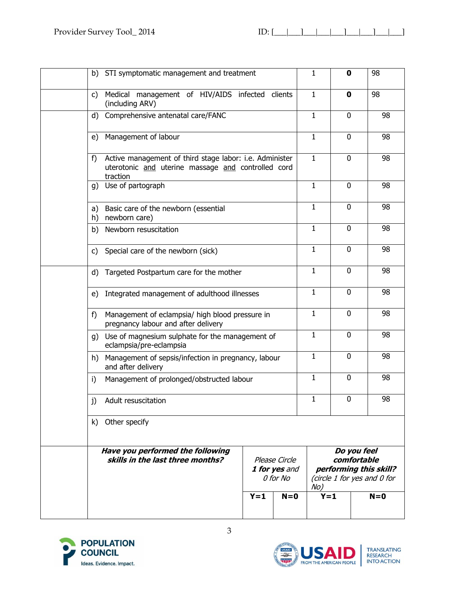| STI symptomatic management and treatment<br>b)                                                                                  | $\mathbf{1}$ | 0            | 98                                                                                  |
|---------------------------------------------------------------------------------------------------------------------------------|--------------|--------------|-------------------------------------------------------------------------------------|
| Medical management of HIV/AIDS infected clients<br>$\mathsf{C}$<br>(including ARV)                                              | $\mathbf{1}$ | $\mathbf 0$  | 98                                                                                  |
| Comprehensive antenatal care/FANC<br>d)                                                                                         | $\mathbf{1}$ | 0            | 98                                                                                  |
| Management of labour<br>e)                                                                                                      | $\mathbf{1}$ | 0            | 98                                                                                  |
| Active management of third stage labor: i.e. Administer<br>f)<br>uterotonic and uterine massage and controlled cord<br>traction | $\mathbf{1}$ | 0            | 98                                                                                  |
| Use of partograph<br>g)                                                                                                         | $\mathbf{1}$ | 0            | 98                                                                                  |
| Basic care of the newborn (essential<br>a)<br>newborn care)<br>h)                                                               | $\mathbf{1}$ | 0            | 98                                                                                  |
| Newborn resuscitation<br>b)                                                                                                     | $\mathbf{1}$ | 0            | 98                                                                                  |
| Special care of the newborn (sick)<br>C)                                                                                        | $\mathbf{1}$ | $\mathbf 0$  | 98                                                                                  |
| Targeted Postpartum care for the mother<br>d)                                                                                   | $\mathbf{1}$ | 0            | 98                                                                                  |
| Integrated management of adulthood illnesses<br>e)                                                                              | $\mathbf{1}$ | 0            | 98                                                                                  |
| f)<br>Management of eclampsia/ high blood pressure in<br>pregnancy labour and after delivery                                    | $\mathbf{1}$ | 0            | 98                                                                                  |
| g) Use of magnesium sulphate for the management of<br>eclampsia/pre-eclampsia                                                   | $\mathbf{1}$ | 0            | 98                                                                                  |
| Management of sepsis/infection in pregnancy, labour<br>h)<br>and after delivery                                                 | $\mathbf{1}$ | 0            | 98                                                                                  |
| Management of prolonged/obstructed labour<br>i)                                                                                 | $\mathbf{1}$ | $\mathbf{0}$ | 98                                                                                  |
| j)<br>Adult resuscitation                                                                                                       | $\mathbf{1}$ | 0            | 98                                                                                  |
| k) Other specify                                                                                                                |              |              |                                                                                     |
| Have you performed the following<br>skills in the last three months?<br>Please Circle<br>1 for yes and<br>0 for No              |              |              | Do you feel<br>comfortable<br>performing this skill?<br>(circle 1 for yes and 0 for |
| $Y = 1$<br>$N=0$                                                                                                                |              | $Y = 1$      | $N=0$                                                                               |



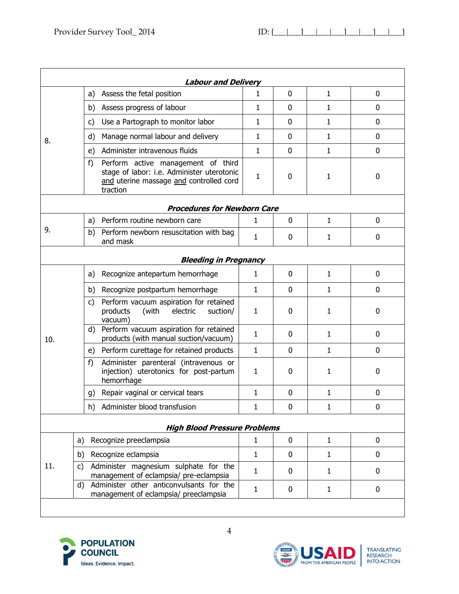|           | <b>Labour and Delivery</b>                                                                                                                    |              |              |              |             |
|-----------|-----------------------------------------------------------------------------------------------------------------------------------------------|--------------|--------------|--------------|-------------|
|           | Assess the fetal position<br>a)                                                                                                               | $\mathbf{1}$ | $\mathbf 0$  | $\mathbf{1}$ | 0           |
|           | Assess progress of labour<br>b)                                                                                                               | $\mathbf{1}$ | $\mathbf 0$  | $\mathbf{1}$ | 0           |
|           | Use a Partograph to monitor labor<br>c)                                                                                                       | $\mathbf{1}$ | $\Omega$     | $\mathbf{1}$ | 0           |
| 8.        | Manage normal labour and delivery<br>d)                                                                                                       | 1            | $\mathbf 0$  | 1            | 0           |
|           | Administer intravenous fluids<br>e)                                                                                                           | 1            | $\mathbf 0$  | $\mathbf{1}$ | 0           |
|           | f)<br>Perform active management of third<br>stage of labor: i.e. Administer uterotonic<br>and uterine massage and controlled cord<br>traction | $\mathbf{1}$ | 0            | 1            | 0           |
|           | <b>Procedures for Newborn Care</b>                                                                                                            |              |              |              |             |
|           | Perform routine newborn care<br>a)                                                                                                            | 1            | $\mathbf 0$  | $\mathbf{1}$ | 0           |
| 9.        | b) Perform newborn resuscitation with bag<br>and mask                                                                                         | 1            | 0            | 1            | 0           |
|           | <b>Bleeding in Pregnancy</b>                                                                                                                  |              |              |              |             |
|           | Recognize antepartum hemorrhage<br>a)                                                                                                         | 1            | $\mathbf 0$  | $\mathbf{1}$ | 0           |
|           | b) Recognize postpartum hemorrhage                                                                                                            | 1            | 0            | $\mathbf{1}$ | 0           |
|           | Perform vacuum aspiration for retained<br>C)<br>products<br>(with<br>electric<br>suction/<br>vacuum)                                          | 1            | $\mathbf 0$  | $\mathbf{1}$ | 0           |
| 10.       | Perform vacuum aspiration for retained<br>d)<br>products (with manual suction/vacuum)                                                         | 1            | $\mathbf{0}$ | $\mathbf{1}$ | 0           |
|           | e) Perform curettage for retained products                                                                                                    | 1            | 0            | $\mathbf{1}$ | 0           |
|           | Administer parenteral (intravenous or<br>f)<br>injection) uterotonics for post-partum<br>hemorrhage                                           | 1            | $\mathbf{0}$ | 1            | 0           |
|           | Repair vaginal or cervical tears<br>g)                                                                                                        | 1            | 0            | 1            | $\mathbf 0$ |
|           | h)<br>Administer blood transfusion                                                                                                            | 1            | 0            | 1            | 0           |
|           | <b>High Blood Pressure Problems</b>                                                                                                           |              |              |              |             |
| a)        | Recognize preeclampsia                                                                                                                        | 1            | $\mathbf 0$  | $\mathbf{1}$ | 0           |
| b)        | Recognize eclampsia                                                                                                                           | 1            | 0            | $\mathbf{1}$ | 0           |
| 11.<br>C) | Administer magnesium sulphate for the<br>management of eclampsia/ pre-eclampsia                                                               | 1            | $\mathbf{0}$ | $\mathbf{1}$ | 0           |
|           | Administer other anticonvulsants for the<br>d)<br>management of eclampsia/ preeclampsia                                                       | 1            | 0            | $\mathbf{1}$ | 0           |
|           |                                                                                                                                               |              |              |              |             |



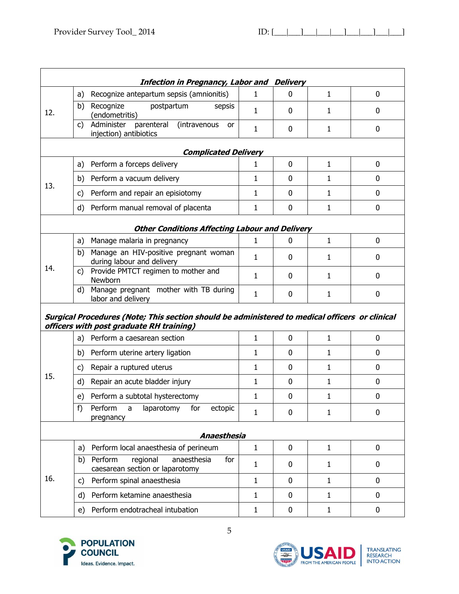|     |    | <b>Infection in Pregnancy, Labor and Delivery</b>                                              |              |             |              |   |
|-----|----|------------------------------------------------------------------------------------------------|--------------|-------------|--------------|---|
|     | a) | Recognize antepartum sepsis (amnionitis)                                                       | 1            | 0           | $\mathbf{1}$ | 0 |
| 12. | b) | Recognize<br>postpartum<br>sepsis<br>(endometritis)                                            | 1            | 0           | 1            | 0 |
|     | c) | Administer<br>parenteral<br>(intravenous<br>or<br>injection) antibiotics                       | 1            | 0           | 1            | 0 |
|     |    | <b>Complicated Delivery</b>                                                                    |              |             |              |   |
|     | a) | Perform a forceps delivery                                                                     | 1            | 0           | $\mathbf{1}$ | 0 |
|     | b) | Perform a vacuum delivery                                                                      | 1            | $\Omega$    | $\mathbf{1}$ | 0 |
| 13. | c) | Perform and repair an episiotomy                                                               | 1            | $\Omega$    | $\mathbf{1}$ | 0 |
|     | d) | Perform manual removal of placenta                                                             | 1            | 0           | $\mathbf{1}$ | 0 |
|     |    | <b>Other Conditions Affecting Labour and Delivery</b>                                          |              |             |              |   |
|     | a) | Manage malaria in pregnancy                                                                    | 1            | 0           | $\mathbf{1}$ | 0 |
|     | b) | Manage an HIV-positive pregnant woman<br>during labour and delivery                            | 1            | 0           | 1            | 0 |
| 14. | C) | Provide PMTCT regimen to mother and<br>Newborn                                                 | 1            | 0           | 1            | 0 |
|     | d) | Manage pregnant mother with TB during<br>labor and delivery                                    | 1            | 0           | 1            | 0 |
|     |    | Surgical Procedures (Note; This section should be administered to medical officers or clinical |              |             |              |   |
|     |    | officers with post graduate RH training)                                                       |              |             |              |   |
|     | a) | Perform a caesarean section                                                                    | 1            | $\mathbf 0$ | $\mathbf{1}$ | 0 |
|     | b) | Perform uterine artery ligation                                                                | 1            | 0           | $\mathbf{1}$ | 0 |
|     | c) | Repair a ruptured uterus                                                                       | 1            | 0           | 1            | 0 |
|     | d) | Repair an acute bladder injury                                                                 | 1            | 0           | 1            | 0 |
|     | e) | Perform a subtotal hysterectomy                                                                | 1            | $\mathbf 0$ | 1            | 0 |
|     | f) | Perform<br>laparotomy<br>for<br>ectopic<br>a<br>pregnancy                                      | 1            | 0           | 1            | 0 |
|     |    | Anaesthesia                                                                                    |              |             |              |   |
|     | a) | Perform local anaesthesia of perineum                                                          | $\mathbf{1}$ | 0           | $\mathbf{1}$ | 0 |
|     | b) | regional<br>Perform<br>anaesthesia<br>for<br>caesarean section or laparotomy                   | 1            | 0           | $\mathbf{1}$ | 0 |
| 16. | C) | Perform spinal anaesthesia                                                                     | 1            | 0           | $\mathbf{1}$ | 0 |
|     | d) | Perform ketamine anaesthesia                                                                   | 1            | 0           | $\mathbf{1}$ | 0 |
| 15. | e) | Perform endotracheal intubation                                                                | 1            | 0           | $\mathbf{1}$ | 0 |



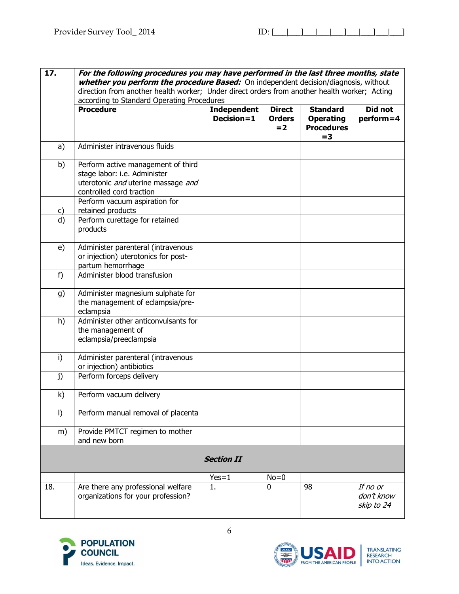| 17.      | For the following procedures you may have performed in the last three months, state<br>whether you perform the procedure Based: On independent decision/diagnosis, without |                                  |                                         |                                                                   |                                      |  |  |  |
|----------|----------------------------------------------------------------------------------------------------------------------------------------------------------------------------|----------------------------------|-----------------------------------------|-------------------------------------------------------------------|--------------------------------------|--|--|--|
|          | direction from another health worker; Under direct orders from another health worker; Acting                                                                               |                                  |                                         |                                                                   |                                      |  |  |  |
|          | according to Standard Operating Procedures                                                                                                                                 |                                  |                                         |                                                                   |                                      |  |  |  |
|          | <b>Procedure</b>                                                                                                                                                           | <b>Independent</b><br>Decision=1 | <b>Direct</b><br><b>Orders</b><br>$= 2$ | <b>Standard</b><br><b>Operating</b><br><b>Procedures</b><br>$= 3$ | Did not<br>perform=4                 |  |  |  |
| a)       | Administer intravenous fluids                                                                                                                                              |                                  |                                         |                                                                   |                                      |  |  |  |
| b)       | Perform active management of third<br>stage labor: i.e. Administer<br>uterotonic and uterine massage and<br>controlled cord traction                                       |                                  |                                         |                                                                   |                                      |  |  |  |
|          | Perform vacuum aspiration for<br>retained products                                                                                                                         |                                  |                                         |                                                                   |                                      |  |  |  |
| C)<br>d) | Perform curettage for retained<br>products                                                                                                                                 |                                  |                                         |                                                                   |                                      |  |  |  |
| e)       | Administer parenteral (intravenous<br>or injection) uterotonics for post-<br>partum hemorrhage                                                                             |                                  |                                         |                                                                   |                                      |  |  |  |
| f)       | Administer blood transfusion                                                                                                                                               |                                  |                                         |                                                                   |                                      |  |  |  |
| g)       | Administer magnesium sulphate for<br>the management of eclampsia/pre-<br>eclampsia                                                                                         |                                  |                                         |                                                                   |                                      |  |  |  |
| h)       | Administer other anticonvulsants for<br>the management of<br>eclampsia/preeclampsia                                                                                        |                                  |                                         |                                                                   |                                      |  |  |  |
| i)       | Administer parenteral (intravenous<br>or injection) antibiotics                                                                                                            |                                  |                                         |                                                                   |                                      |  |  |  |
| j)       | Perform forceps delivery                                                                                                                                                   |                                  |                                         |                                                                   |                                      |  |  |  |
| k)       | Perform vacuum delivery                                                                                                                                                    |                                  |                                         |                                                                   |                                      |  |  |  |
| I)       | Perform manual removal of placenta                                                                                                                                         |                                  |                                         |                                                                   |                                      |  |  |  |
| m)       | Provide PMTCT regimen to mother<br>and new born                                                                                                                            |                                  |                                         |                                                                   |                                      |  |  |  |
|          |                                                                                                                                                                            | <b>Section II</b>                |                                         |                                                                   |                                      |  |  |  |
|          |                                                                                                                                                                            | $Yes=1$                          | $No = 0$                                |                                                                   |                                      |  |  |  |
| 18.      | Are there any professional welfare<br>organizations for your profession?                                                                                                   | 1.                               | $\mathbf{0}$                            | 98                                                                | If no or<br>don't know<br>skip to 24 |  |  |  |



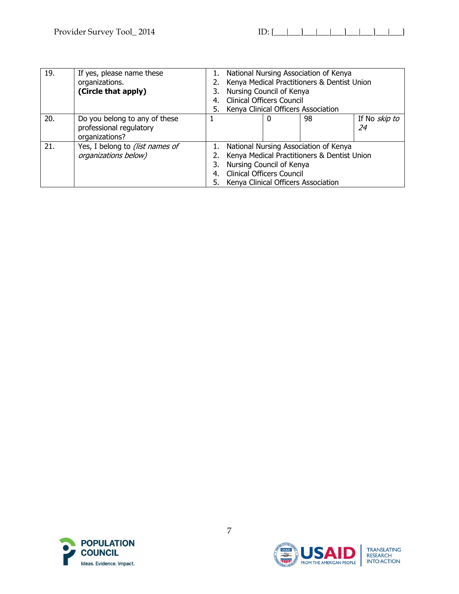| 19. | If yes, please name these<br>organizations.<br>(Circle that apply)         | 3.<br>4.<br>5. | National Nursing Association of Kenya<br>Kenya Medical Practitioners & Dentist Union<br>Nursing Council of Kenya<br><b>Clinical Officers Council</b><br>Kenya Clinical Officers Association |  |    |                            |  |
|-----|----------------------------------------------------------------------------|----------------|---------------------------------------------------------------------------------------------------------------------------------------------------------------------------------------------|--|----|----------------------------|--|
| 20. | Do you belong to any of these<br>professional regulatory<br>organizations? |                |                                                                                                                                                                                             |  | 98 | If No <i>skip to</i><br>24 |  |
| 21. | Yes, I belong to (list names of<br>organizations below)                    |                | National Nursing Association of Kenya<br>Kenya Medical Practitioners & Dentist Union<br>Nursing Council of Kenya<br><b>Clinical Officers Council</b><br>Kenya Clinical Officers Association |  |    |                            |  |



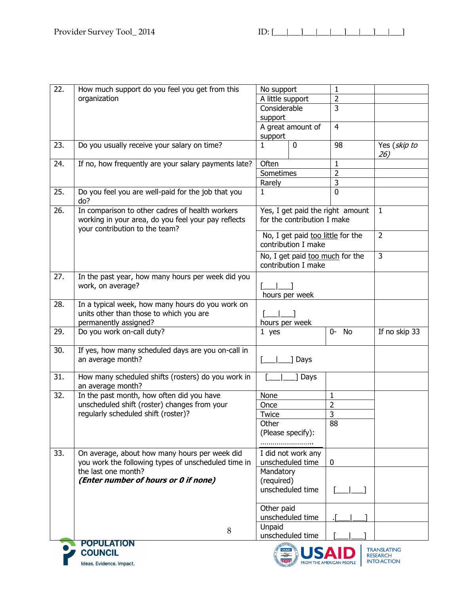| 22. | How much support do you feel you get from this                                                                                           | No support        |                                                          | $\mathbf{1}$                     |                     |
|-----|------------------------------------------------------------------------------------------------------------------------------------------|-------------------|----------------------------------------------------------|----------------------------------|---------------------|
|     | organization                                                                                                                             |                   | A little support                                         | $\overline{2}$                   |                     |
|     |                                                                                                                                          | Considerable      |                                                          | 3                                |                     |
|     |                                                                                                                                          | support           |                                                          |                                  |                     |
|     |                                                                                                                                          |                   | A great amount of                                        | $\overline{4}$                   |                     |
|     |                                                                                                                                          | support           |                                                          |                                  |                     |
| 23. | Do you usually receive your salary on time?                                                                                              | $\mathbf{1}$      | 0                                                        | 98                               | Yes (skip to<br>26) |
| 24. | If no, how frequently are your salary payments late?                                                                                     | Often             |                                                          | $\mathbf{1}$                     |                     |
|     |                                                                                                                                          | Sometimes         |                                                          | $\overline{2}$                   |                     |
|     |                                                                                                                                          | Rarely            |                                                          |                                  |                     |
| 25. | Do you feel you are well-paid for the job that you<br>do?                                                                                | 1                 |                                                          | $\overline{0}$                   |                     |
| 26. | In comparison to other cadres of health workers<br>working in your area, do you feel your pay reflects<br>your contribution to the team? |                   | for the contribution I make                              | Yes, I get paid the right amount | $\mathbf{1}$        |
|     |                                                                                                                                          |                   | No, I get paid too little for the<br>contribution I make |                                  | $\overline{2}$      |
|     |                                                                                                                                          |                   | No, I get paid too much for the<br>contribution I make   |                                  | $\overline{3}$      |
| 27. | In the past year, how many hours per week did you<br>work, on average?                                                                   | hours per week    |                                                          |                                  |                     |
| 28. | In a typical week, how many hours do you work on                                                                                         |                   |                                                          |                                  |                     |
|     | units other than those to which you are                                                                                                  |                   |                                                          |                                  |                     |
|     | permanently assigned?                                                                                                                    | hours per week    |                                                          |                                  |                     |
| 29. | Do you work on-call duty?                                                                                                                | $1$ yes           |                                                          | If no skip 33                    |                     |
| 30. | If yes, how many scheduled days are you on-call in                                                                                       |                   |                                                          |                                  |                     |
|     | an average month?                                                                                                                        |                   | ] Days                                                   |                                  |                     |
| 31. | How many scheduled shifts (rosters) do you work in<br>an average month?                                                                  |                   | ] Days                                                   |                                  |                     |
| 32. | In the past month, how often did you have                                                                                                | None              |                                                          | 1                                |                     |
|     | unscheduled shift (roster) changes from your                                                                                             | Once              |                                                          | $\overline{2}$                   |                     |
|     | regularly scheduled shift (roster)?                                                                                                      | Twice             |                                                          | 3                                |                     |
|     |                                                                                                                                          | Other             |                                                          | 88                               |                     |
|     |                                                                                                                                          | (Please specify): |                                                          |                                  |                     |
|     |                                                                                                                                          |                   |                                                          |                                  |                     |
| 33. | On average, about how many hours per week did                                                                                            |                   | I did not work any                                       |                                  |                     |
|     | you work the following types of unscheduled time in                                                                                      |                   | unscheduled time                                         | $\mathbf{0}$                     |                     |
|     | the last one month?                                                                                                                      | Mandatory         |                                                          |                                  |                     |
|     | (Enter number of hours or 0 if none)                                                                                                     | (required)        |                                                          |                                  |                     |
|     |                                                                                                                                          |                   | unscheduled time                                         |                                  |                     |
|     |                                                                                                                                          | Other paid        |                                                          |                                  |                     |
|     |                                                                                                                                          |                   | unscheduled time                                         |                                  |                     |
|     | 8                                                                                                                                        | Unpaid            |                                                          |                                  |                     |
|     |                                                                                                                                          |                   | unscheduled time                                         |                                  |                     |
|     | POPULATION                                                                                                                               |                   |                                                          |                                  |                     |



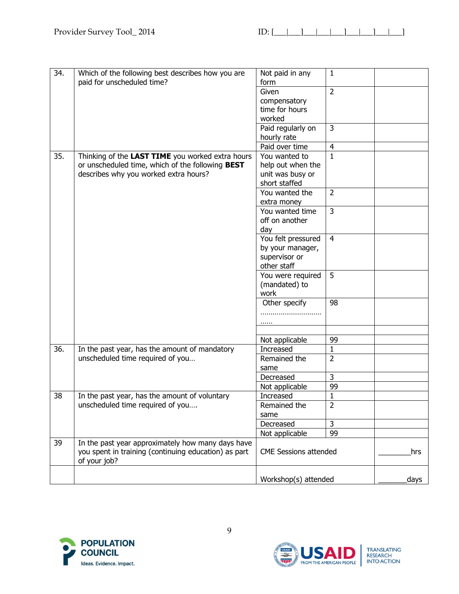| 34. | Which of the following best describes how you are    | Not paid in any              | $\mathbf{1}$   |      |
|-----|------------------------------------------------------|------------------------------|----------------|------|
|     | paid for unscheduled time?                           | form                         |                |      |
|     |                                                      | Given                        | $\overline{2}$ |      |
|     |                                                      | compensatory                 |                |      |
|     |                                                      | time for hours               |                |      |
|     |                                                      | worked                       |                |      |
|     |                                                      | Paid regularly on            | 3              |      |
|     |                                                      | hourly rate                  |                |      |
|     |                                                      | Paid over time               | $\overline{4}$ |      |
| 35. | Thinking of the LAST TIME you worked extra hours     | You wanted to                | $\mathbf{1}$   |      |
|     | or unscheduled time, which of the following BEST     | help out when the            |                |      |
|     | describes why you worked extra hours?                | unit was busy or             |                |      |
|     |                                                      | short staffed                |                |      |
|     |                                                      | You wanted the               | $\overline{2}$ |      |
|     |                                                      | extra money                  |                |      |
|     |                                                      | You wanted time              | $\overline{3}$ |      |
|     |                                                      | off on another               |                |      |
|     |                                                      | day                          |                |      |
|     |                                                      | You felt pressured           | $\overline{4}$ |      |
|     |                                                      | by your manager,             |                |      |
|     |                                                      | supervisor or                |                |      |
|     |                                                      | other staff                  |                |      |
|     |                                                      | You were required            | 5              |      |
|     |                                                      | (mandated) to                |                |      |
|     |                                                      | work                         |                |      |
|     |                                                      | Other specify                | 98             |      |
|     |                                                      |                              |                |      |
|     |                                                      | .                            |                |      |
|     |                                                      |                              |                |      |
|     |                                                      | Not applicable               | 99             |      |
| 36. | In the past year, has the amount of mandatory        | Increased                    | $\mathbf{1}$   |      |
|     | unscheduled time required of you                     | Remained the                 | $\overline{2}$ |      |
|     |                                                      | same                         |                |      |
|     |                                                      | Decreased                    | 3              |      |
|     |                                                      | Not applicable               | 99             |      |
| 38  | In the past year, has the amount of voluntary        | Increased                    | $\mathbf{1}$   |      |
|     | unscheduled time required of you                     | Remained the                 | $\overline{2}$ |      |
|     |                                                      | same                         |                |      |
|     |                                                      | Decreased                    | 3              |      |
|     |                                                      | Not applicable               | 99             |      |
| 39  | In the past year approximately how many days have    |                              |                |      |
|     | you spent in training (continuing education) as part | <b>CME Sessions attended</b> |                | hrs  |
|     | of your job?                                         |                              |                |      |
|     |                                                      |                              |                |      |
|     |                                                      | Workshop(s) attended         |                | days |



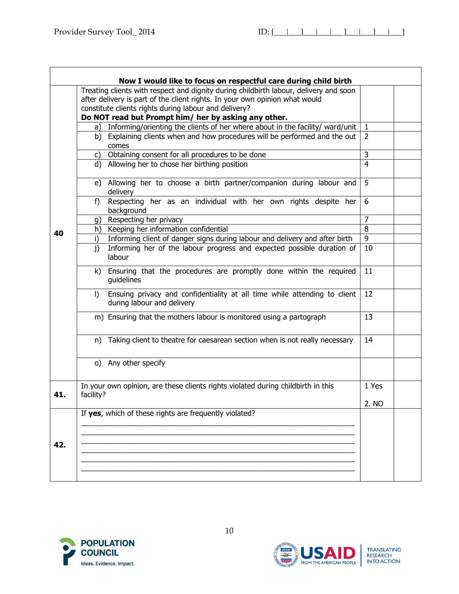|     | Now I would like to focus on respectful care during child birth                                                                                                                                                               |                                |  |
|-----|-------------------------------------------------------------------------------------------------------------------------------------------------------------------------------------------------------------------------------|--------------------------------|--|
|     | Treating clients with respect and dignity during childbirth labour, delivery and soon<br>after delivery is part of the client rights. In your own opinion what would<br>constitute clients rights during labour and delivery? |                                |  |
|     | Do NOT read but Prompt him/ her by asking any other.                                                                                                                                                                          |                                |  |
|     | a) Informing/orienting the clients of her where about in the facility/ ward/unit<br>Explaining clients when and how procedures will be performed and the out<br>b)<br>comes                                                   | $\mathbf{1}$<br>$\overline{2}$ |  |
|     | c) Obtaining consent for all procedures to be done                                                                                                                                                                            | $\overline{3}$                 |  |
|     | d) Allowing her to chose her birthing position                                                                                                                                                                                | 4                              |  |
|     | e) Allowing her to choose a birth partner/companion during labour and<br>delivery                                                                                                                                             | 5                              |  |
|     | Respecting her as an individual with her own rights despite her<br>f)<br>background                                                                                                                                           | 6                              |  |
|     | Respecting her privacy<br>q)                                                                                                                                                                                                  | $\overline{7}$                 |  |
|     | Keeping her information confidential<br>h)                                                                                                                                                                                    | 8                              |  |
| 40  | Informing client of danger signs during labour and delivery and after birth<br>i)                                                                                                                                             | 9                              |  |
|     | Informing her of the labour progress and expected possible duration of<br>$\mathbf{i}$<br>labour                                                                                                                              | 10                             |  |
|     | Ensuring that the procedures are promptly done within the required<br>k)<br>guidelines                                                                                                                                        | 11                             |  |
|     | Ensuing privacy and confidentiality at all time while attending to client<br>$\mathsf{D}$<br>during labour and delivery                                                                                                       | 12                             |  |
|     | m) Ensuring that the mothers labour is monitored using a partograph                                                                                                                                                           | 13                             |  |
|     | n) Taking client to theatre for caesarean section when is not really necessary                                                                                                                                                | 14                             |  |
|     | o) Any other specify                                                                                                                                                                                                          |                                |  |
| 41. | In your own opinion, are these clients rights violated during childbirth in this<br>facility?                                                                                                                                 | 1 Yes                          |  |
|     |                                                                                                                                                                                                                               | 2. NO                          |  |
| 42. | If yes, which of these rights are frequently violated?                                                                                                                                                                        |                                |  |
|     |                                                                                                                                                                                                                               |                                |  |



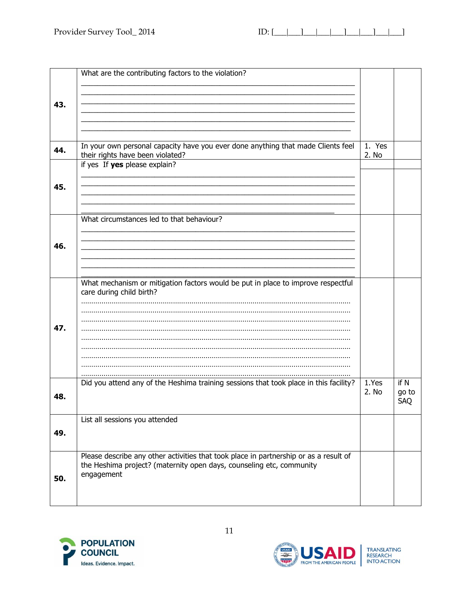|     | What are the contributing factors to the violation?                                   |        |            |
|-----|---------------------------------------------------------------------------------------|--------|------------|
|     |                                                                                       |        |            |
|     |                                                                                       |        |            |
|     |                                                                                       |        |            |
| 43. |                                                                                       |        |            |
|     |                                                                                       |        |            |
|     |                                                                                       |        |            |
|     |                                                                                       |        |            |
|     |                                                                                       |        |            |
| 44. | In your own personal capacity have you ever done anything that made Clients feel      | 1. Yes |            |
|     | their rights have been violated?                                                      | 2. No  |            |
|     | if yes If yes please explain?                                                         |        |            |
|     |                                                                                       |        |            |
| 45. |                                                                                       |        |            |
|     |                                                                                       |        |            |
|     |                                                                                       |        |            |
|     |                                                                                       |        |            |
|     | What circumstances led to that behaviour?                                             |        |            |
|     |                                                                                       |        |            |
|     |                                                                                       |        |            |
| 46. |                                                                                       |        |            |
|     |                                                                                       |        |            |
|     |                                                                                       |        |            |
|     |                                                                                       |        |            |
|     | What mechanism or mitigation factors would be put in place to improve respectful      |        |            |
|     | care during child birth?                                                              |        |            |
|     |                                                                                       |        |            |
|     |                                                                                       |        |            |
|     |                                                                                       |        |            |
| 47. |                                                                                       |        |            |
|     |                                                                                       |        |            |
|     |                                                                                       |        |            |
|     |                                                                                       |        |            |
|     |                                                                                       |        |            |
|     |                                                                                       |        |            |
|     |                                                                                       |        |            |
|     | Did you attend any of the Heshima training sessions that took place in this facility? | 1.Yes  | if N       |
| 48. |                                                                                       | 2. No  | go to      |
|     |                                                                                       |        | <b>SAQ</b> |
|     |                                                                                       |        |            |
|     | List all sessions you attended                                                        |        |            |
| 49. |                                                                                       |        |            |
|     |                                                                                       |        |            |
|     |                                                                                       |        |            |
|     | Please describe any other activities that took place in partnership or as a result of |        |            |
|     | the Heshima project? (maternity open days, counseling etc, community                  |        |            |
|     | engagement                                                                            |        |            |
| 50. |                                                                                       |        |            |
|     |                                                                                       |        |            |
|     |                                                                                       |        |            |
|     |                                                                                       |        |            |



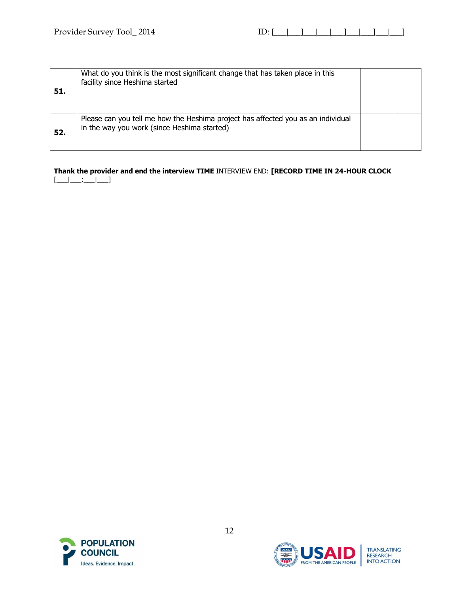| 51. | What do you think is the most significant change that has taken place in this<br>facility since Heshima started                 |  |
|-----|---------------------------------------------------------------------------------------------------------------------------------|--|
| 52. | Please can you tell me how the Heshima project has affected you as an individual<br>in the way you work (since Heshima started) |  |

**Thank the provider and end the interview TIME** INTERVIEW END: **[RECORD TIME IN 24-HOUR CLOCK**   $[\_$ 





TRANSLATING<br>RESEARCH<br>INTO ACTION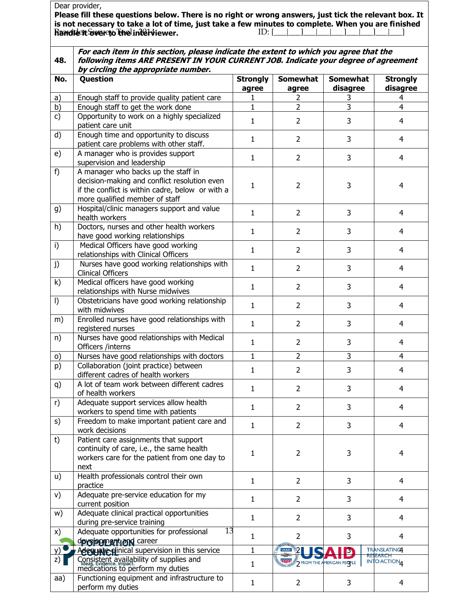|           | Dear provider,                                                                                                                                                                                                                                   |                          |                                                                                    |                             |                                   |
|-----------|--------------------------------------------------------------------------------------------------------------------------------------------------------------------------------------------------------------------------------------------------|--------------------------|------------------------------------------------------------------------------------|-----------------------------|-----------------------------------|
|           | Please fill these questions below. There is no right or wrong answers, just tick the relevant box. It<br>is not necessary to take a lot of time, just take a few minutes to complete. When you are finished<br>Randlett Swereto The interviewer. |                          | $ID: [\underline{\qquad} \underline{\qquad} \underline{\qquad} \underline{\qquad}$ |                             |                                   |
| 48.       | For each item in this section, please indicate the extent to which you agree that the<br>following items ARE PRESENT IN YOUR CURRENT JOB. Indicate your degree of agreement<br>by circling the appropriate number.                               |                          |                                                                                    |                             |                                   |
| No.       | Question                                                                                                                                                                                                                                         | <b>Strongly</b><br>agree | <b>Somewhat</b><br>agree                                                           | <b>Somewhat</b><br>disagree | <b>Strongly</b><br>disagree       |
| a)        | Enough staff to provide quality patient care                                                                                                                                                                                                     | 1                        | $\overline{2}$                                                                     | 3                           | 4                                 |
| b)        | Enough staff to get the work done                                                                                                                                                                                                                | $\mathbf{1}$             | $\overline{2}$                                                                     | $\overline{3}$              | $\overline{4}$                    |
| c)        | Opportunity to work on a highly specialized<br>patient care unit                                                                                                                                                                                 | $\mathbf{1}$             | $\overline{2}$                                                                     | 3                           | $\overline{4}$                    |
| d)        | Enough time and opportunity to discuss<br>patient care problems with other staff.                                                                                                                                                                | $\mathbf{1}$             | $\overline{2}$                                                                     | 3                           | 4                                 |
| e)        | A manager who is provides support<br>supervision and leadership                                                                                                                                                                                  | $\mathbf{1}$             | $\overline{2}$                                                                     | 3                           | $\overline{4}$                    |
| f)        | A manager who backs up the staff in<br>decision-making and conflict resolution even<br>if the conflict is within cadre, below or with a<br>more qualified member of staff                                                                        | 1                        | $\overline{2}$                                                                     | 3                           | 4                                 |
| g)        | Hospital/clinic managers support and value<br>health workers                                                                                                                                                                                     | $\mathbf{1}$             | $\overline{2}$                                                                     | 3                           | $\overline{4}$                    |
| h)        | Doctors, nurses and other health workers<br>have good working relationships                                                                                                                                                                      | $\mathbf{1}$             | $\overline{2}$                                                                     | 3                           | 4                                 |
| i)        | Medical Officers have good working<br>relationships with Clinical Officers                                                                                                                                                                       | $\mathbf{1}$             | $\overline{2}$                                                                     | 3                           | 4                                 |
| j)        | Nurses have good working relationships with<br><b>Clinical Officers</b>                                                                                                                                                                          | $\mathbf{1}$             | $\overline{2}$                                                                     | 3                           | 4                                 |
| k)        | Medical officers have good working<br>relationships with Nurse midwives                                                                                                                                                                          | 1                        | $\overline{2}$                                                                     | 3                           | 4                                 |
| $\vert$ ) | Obstetricians have good working relationship<br>with midwives                                                                                                                                                                                    | $\mathbf{1}$             | $\overline{2}$                                                                     | 3                           | 4                                 |
| m)        | Enrolled nurses have good relationships with<br>registered nurses                                                                                                                                                                                | $\mathbf{1}$             | $\overline{2}$                                                                     | 3                           | $\overline{4}$                    |
| n)        | Nurses have good relationships with Medical<br>Officers /interns                                                                                                                                                                                 | 1                        | $\overline{2}$                                                                     | 3                           | 4                                 |
| $\circ$   | Nurses have good relationships with doctors                                                                                                                                                                                                      | $\mathbf{1}$             | $\overline{2}$                                                                     | 3                           | 4                                 |
| p)        | Collaboration (joint practice) between<br>different cadres of health workers                                                                                                                                                                     | $\mathbf{1}$             | $\overline{2}$                                                                     | 3                           | 4                                 |
| q)        | A lot of team work between different cadres<br>of health workers                                                                                                                                                                                 | $\mathbf{1}$             | $\overline{2}$                                                                     | 3                           | $\overline{4}$                    |
| r)        | Adequate support services allow health<br>workers to spend time with patients                                                                                                                                                                    | $\mathbf{1}$             | $\overline{2}$                                                                     | 3                           | 4                                 |
| s)        | Freedom to make important patient care and<br>work decisions                                                                                                                                                                                     | $\mathbf{1}$             | $\overline{2}$                                                                     | 3                           | 4                                 |
| t)        | Patient care assignments that support<br>continuity of care, i.e., the same health<br>workers care for the patient from one day to<br>next                                                                                                       | 1                        | $\overline{2}$                                                                     | 3                           | 4                                 |
| u)        | Health professionals control their own<br>practice                                                                                                                                                                                               | $\mathbf{1}$             | $\overline{2}$                                                                     | 3                           | 4                                 |
| v)        | Adequate pre-service education for my<br>current position                                                                                                                                                                                        | $\mathbf{1}$             | $\overline{2}$                                                                     | 3                           | 4                                 |
| w)        | Adequate clinical practical opportunities<br>during pre-service training                                                                                                                                                                         | $\mathbf{1}$             | $\overline{2}$                                                                     | 3                           | 4                                 |
| x)        | 13<br>Adequate opportunities for professional<br>development and career                                                                                                                                                                          | $\mathbf{1}$             | $\overline{2}$                                                                     | 3                           | $\overline{4}$                    |
|           | Adequate glinical supervision in this service                                                                                                                                                                                                    | 1                        | USAID <b>B</b>                                                                     |                             | <b>TRANSLATING</b>                |
| Z)        | Consistent availability of supplies and<br>medications to perform my duties                                                                                                                                                                      | $\mathbf{1}$             | FROM THE AMERICAN PEOPLE                                                           |                             | EARCH<br>INTO ACTION <sub>4</sub> |
| aa)       | Functioning equipment and infrastructure to<br>perform my duties                                                                                                                                                                                 | $\mathbf{1}$             | $\overline{2}$                                                                     | 3                           | 4                                 |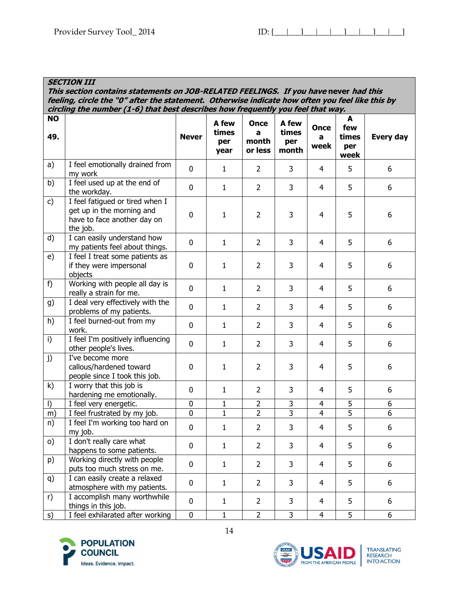**SECTION III**

#### **This section contains statements on JOB-RELATED FEELINGS. If you have never had this feeling, circle the "0" after the statement. Otherwise indicate how often you feel like this by circling the number (1-6) that best describes how frequently you feel that way. NO 49. Never A few times per year Once a month or less A few times per month Once a week A few times per week Every day** a) | I feel emotionally drained from my work  $\left[\begin{array}{c|c} 0 & 1 & 2 & 3 & 4 & 5 \end{array}\right]$ b) I feel used up at the end of the workday. <sup>0</sup> <sup>1</sup> <sup>2</sup> <sup>3</sup> <sup>4</sup> <sup>5</sup> <sup>6</sup> c)  $\vert$  I feel fatigued or tired when I get up in the morning and have to face another day on the job. 0 | 1 | 2 | 3 | 4 | 5 | 6 d)  $\vert$  I can easily understand how my patients feel about things. <sup>0</sup> <sup>1</sup> <sup>2</sup> <sup>3</sup> <sup>4</sup> <sup>5</sup> <sup>6</sup> e) I feel I treat some patients as if they were impersonal objects 0 | 1 | 2 | 3 | 4 | 5 | 6 f) Working with people all day is really a strain for me. <sup>0</sup> <sup>1</sup> <sup>2</sup> <sup>3</sup> <sup>4</sup> <sup>5</sup> <sup>6</sup> g) I deal very effectively with the problems of my patients. <sup>0</sup> <sup>1</sup> <sup>2</sup> <sup>3</sup> <sup>4</sup> <sup>5</sup> <sup>6</sup> h) I feel burned-out from my work. <sup>0</sup> <sup>1</sup> <sup>2</sup> <sup>3</sup> <sup>4</sup> <sup>5</sup> <sup>6</sup> i) I feel I'm positively influencing other people's lives. <sup>0</sup> <sup>1</sup> <sup>2</sup> <sup>3</sup> <sup>4</sup> <sup>5</sup> <sup>6</sup> j) I've become more callous/hardened toward people since I took this job. 0 | 1 | 2 | 3 | 4 | 5 | 6  $k$ ) I worry that this job is  $\frac{1 \text{ WO(1)}$  that this job is<br>hardening me emotionally.  $\begin{vmatrix} 0 & 1 & 2 & 3 & 4 & 5 \end{vmatrix}$  6 l) I feel very energetic. 0 1 2 3 4 5 6 m) I feel frustrated by my job. 0 1 2 3 4 5 6 n) I feel I'm working too hard on my job.  $\left[\begin{array}{c|c|c|c|c} 0 & 1 & 2 & 3 & 4 & 5 & 6 \end{array}\right]$ o) I don't really care what happens to some patients. <sup>0</sup> <sup>1</sup> <sup>2</sup> <sup>3</sup> <sup>4</sup> <sup>5</sup> <sup>6</sup> p) Working directly with people puts too much stress on me.  $\begin{vmatrix} 0 & 1 & 2 & 3 & 4 & 5 \end{vmatrix}$  6 q)  $\vert$  I can easily create a relaxed atmosphere with my patients. <sup>0</sup> <sup>1</sup> <sup>2</sup> <sup>3</sup> <sup>4</sup> <sup>5</sup> <sup>6</sup>  $r$ ) I accomplish many worthwhile things in this job. <sup>0</sup> <sup>1</sup> <sup>2</sup> <sup>3</sup> <sup>4</sup> <sup>5</sup> <sup>6</sup> s) I feel exhilarated after working 0 1 2 3 4 5 6



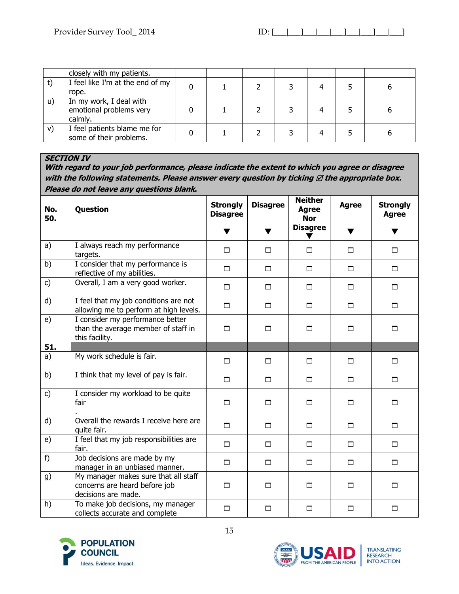|              | closely with my patients.                                     |  |  |  |  |
|--------------|---------------------------------------------------------------|--|--|--|--|
|              | I feel like I'm at the end of my<br>rope.                     |  |  |  |  |
| $\mathsf{u}$ | In my work, I deal with<br>emotional problems very<br>calmly. |  |  |  |  |
| V)           | I feel patients blame me for<br>some of their problems.       |  |  |  |  |

# **SECTION IV**

**With regard to your job performance, please indicate the extent to which you agree or disagree**  with the following statements. Please answer every question by ticking  $\boxtimes$  the appropriate box. **Please do not leave any questions blank.**

| No.<br>50.     | Question                                                                                     | <b>Disagree</b><br><b>Strongly</b><br><b>Disagree</b> |        | <b>Neither</b><br><b>Agree</b><br><b>Nor</b> | <b>Agree</b> | <b>Strongly</b><br><b>Agree</b> |
|----------------|----------------------------------------------------------------------------------------------|-------------------------------------------------------|--------|----------------------------------------------|--------------|---------------------------------|
|                |                                                                                              | ▼                                                     | v      | <b>Disagree</b>                              | v.           | ▼                               |
| a)             | I always reach my performance<br>targets.                                                    | $\Box$                                                | $\Box$ | П                                            | $\Box$       | $\Box$                          |
| b)             | I consider that my performance is<br>reflective of my abilities.                             | □                                                     | П      | $\Box$                                       | $\Box$       | $\Box$                          |
| c)             | Overall, I am a very good worker.                                                            | □                                                     | $\Box$ | □                                            | $\Box$       | $\Box$                          |
| d)             | I feel that my job conditions are not<br>allowing me to perform at high levels.              | $\Box$                                                | $\Box$ | $\Box$                                       | $\Box$       | $\Box$                          |
| e)             | I consider my performance better<br>than the average member of staff in<br>this facility.    | $\Box$                                                | $\Box$ | □                                            | □            | $\Box$                          |
| 51.            |                                                                                              |                                                       |        |                                              |              |                                 |
| a)             | My work schedule is fair.                                                                    | $\Box$                                                | $\Box$ | П                                            | $\Box$       | $\Box$                          |
| b)             | I think that my level of pay is fair.                                                        | $\Box$                                                | $\Box$ | П.                                           | $\Box$       | $\Box$                          |
| $\mathsf{c}$ ) | I consider my workload to be quite<br>fair                                                   | $\Box$                                                | $\Box$ | $\Box$                                       | $\Box$       | $\Box$                          |
| d)             | Overall the rewards I receive here are<br>quite fair.                                        | □                                                     | $\Box$ | □                                            | $\Box$       | $\Box$                          |
| e)             | I feel that my job responsibilities are<br>fair.                                             | $\Box$                                                | $\Box$ | $\Box$                                       | $\Box$       | $\Box$                          |
| f)             | Job decisions are made by my<br>manager in an unbiased manner.                               | $\Box$                                                | $\Box$ | $\Box$                                       | $\Box$       | $\Box$                          |
| g)             | My manager makes sure that all staff<br>concerns are heard before job<br>decisions are made. | $\Box$                                                | □      | $\Box$                                       | $\Box$       | $\Box$                          |
| h)             | To make job decisions, my manager<br>collects accurate and complete                          | $\Box$                                                | $\Box$ | П                                            | $\Box$       | $\Box$                          |



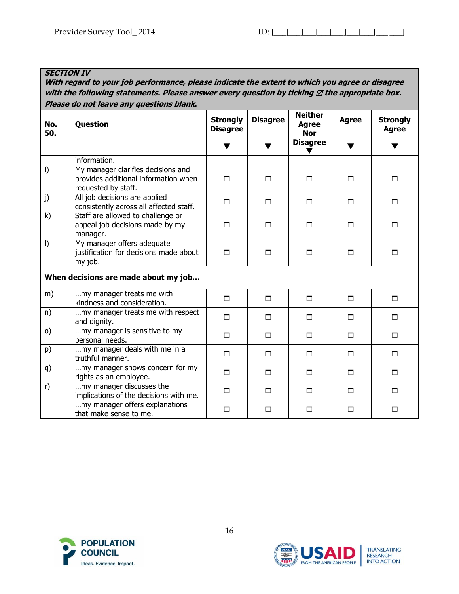## **SECTION IV**

**With regard to your job performance, please indicate the extent to which you agree or disagree**  with the following statements. Please answer every question by ticking  $\boxtimes$  the appropriate box. **Please do not leave any questions blank.**

| No.<br>50. | Question                                                                                          | <b>Disagree</b><br><b>Strongly</b><br><b>Disagree</b> |        | <b>Neither</b><br><b>Agree</b><br><b>Nor</b> | <b>Agree</b> | <b>Strongly</b><br><b>Agree</b> |
|------------|---------------------------------------------------------------------------------------------------|-------------------------------------------------------|--------|----------------------------------------------|--------------|---------------------------------|
|            |                                                                                                   | v                                                     |        | <b>Disagree</b>                              | ▼            | ▼                               |
|            | information.                                                                                      |                                                       |        |                                              |              |                                 |
| i)         | My manager clarifies decisions and<br>provides additional information when<br>requested by staff. | □                                                     | $\Box$ | $\Box$                                       | П            | $\Box$                          |
| j)         | All job decisions are applied<br>consistently across all affected staff.                          | $\Box$                                                | $\Box$ | □                                            | □            | $\Box$                          |
| k)         | Staff are allowed to challenge or<br>appeal job decisions made by my<br>manager.                  | $\Box$                                                | $\Box$ | П                                            | $\Box$       | $\Box$                          |
| $\vert$ )  | My manager offers adequate<br>justification for decisions made about<br>my job.                   | □                                                     | $\Box$ | $\Box$                                       | $\Box$       | $\Box$                          |
|            | When decisions are made about my job                                                              |                                                       |        |                                              |              |                                 |
| m)         | my manager treats me with<br>kindness and consideration.                                          | □                                                     | $\Box$ | П                                            | $\Box$       | $\Box$                          |
| n)         | my manager treats me with respect<br>and dignity.                                                 | $\Box$                                                | $\Box$ | $\Box$                                       | $\Box$       | $\Box$                          |
| O)         | my manager is sensitive to my<br>personal needs.                                                  | $\Box$                                                | $\Box$ | $\Box$                                       | $\Box$       | □                               |
| p)         | my manager deals with me in a<br>truthful manner.                                                 | □                                                     | $\Box$ | □                                            | □            | $\Box$                          |
| q)         | my manager shows concern for my<br>rights as an employee.                                         | □                                                     | $\Box$ | П                                            | $\Box$       | $\Box$                          |
| r)         | my manager discusses the<br>implications of the decisions with me.                                | $\Box$                                                | $\Box$ | $\Box$                                       | $\Box$       | $\Box$                          |
|            | my manager offers explanations<br>that make sense to me.                                          | □                                                     | $\Box$ | □                                            | □            | $\Box$                          |





TRANSLATING<br>RESEARCH<br>INTO ACTION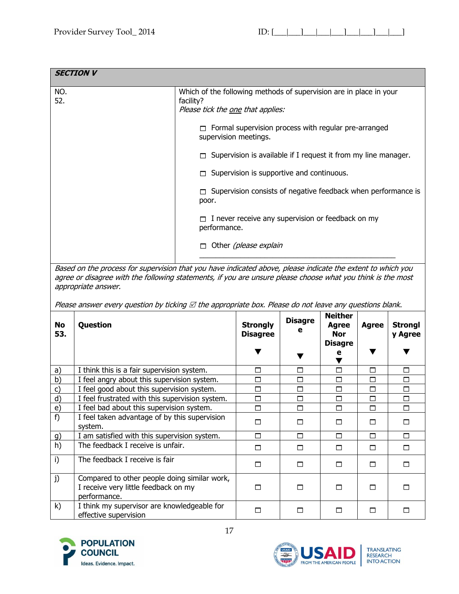| <b>SECTION V</b> |                                                                                                                                                                                                                                                                                                                                                                        |                                                                                                                                                                                                              |                                                   |                     |                                                              |              |                           |
|------------------|------------------------------------------------------------------------------------------------------------------------------------------------------------------------------------------------------------------------------------------------------------------------------------------------------------------------------------------------------------------------|--------------------------------------------------------------------------------------------------------------------------------------------------------------------------------------------------------------|---------------------------------------------------|---------------------|--------------------------------------------------------------|--------------|---------------------------|
| NO.<br>52.       |                                                                                                                                                                                                                                                                                                                                                                        | Which of the following methods of supervision are in place in your<br>facility?<br>Please tick the one that applies:<br>$\Box$ Formal supervision process with regular pre-arranged<br>supervision meetings. |                                                   |                     |                                                              |              |                           |
|                  |                                                                                                                                                                                                                                                                                                                                                                        | Supervision is available if I request it from my line manager.                                                                                                                                               |                                                   |                     |                                                              |              |                           |
|                  |                                                                                                                                                                                                                                                                                                                                                                        |                                                                                                                                                                                                              | Supervision is supportive and continuous.         |                     |                                                              |              |                           |
|                  |                                                                                                                                                                                                                                                                                                                                                                        | Supervision consists of negative feedback when performance is<br>poor.                                                                                                                                       |                                                   |                     |                                                              |              |                           |
|                  |                                                                                                                                                                                                                                                                                                                                                                        | performance.                                                                                                                                                                                                 | I never receive any supervision or feedback on my |                     |                                                              |              |                           |
|                  |                                                                                                                                                                                                                                                                                                                                                                        |                                                                                                                                                                                                              | Other (please explain                             |                     |                                                              |              |                           |
|                  | Based on the process for supervision that you have indicated above, please indicate the extent to which you<br>agree or disagree with the following statements, if you are unsure please choose what you think is the most<br>appropriate answer.<br>Please answer every question by ticking $\boxtimes$ the appropriate box. Please do not leave any questions blank. |                                                                                                                                                                                                              |                                                   |                     |                                                              |              |                           |
| <b>No</b><br>53. | Question                                                                                                                                                                                                                                                                                                                                                               |                                                                                                                                                                                                              | <b>Strongly</b><br><b>Disagree</b>                | <b>Disagre</b><br>е | <b>Neither</b><br>Agree<br><b>Nor</b><br><b>Disagre</b><br>е | <b>Agree</b> | <b>Strongl</b><br>y Agree |
|                  |                                                                                                                                                                                                                                                                                                                                                                        |                                                                                                                                                                                                              |                                                   |                     |                                                              |              |                           |

| a)           | I think this is a fair supervision system.                                                           | П | ⊓ | п |  |
|--------------|------------------------------------------------------------------------------------------------------|---|---|---|--|
| b)           | I feel angry about this supervision system.                                                          | □ | ⊓ | ⊓ |  |
| $\mathsf{C}$ | I feel good about this supervision system.                                                           |   |   | П |  |
| d)           | I feel frustrated with this supervision system.                                                      | □ | ⊓ | П |  |
| e)           | I feel bad about this supervision system.                                                            | ⊓ | ⊓ | П |  |
| f)           | I feel taken advantage of by this supervision<br>system.                                             |   |   | П |  |
| g)           | I am satisfied with this supervision system.                                                         | п | ⊓ | П |  |
| h)           | The feedback I receive is unfair.                                                                    |   |   | ⊓ |  |
| i)           | The feedback I receive is fair                                                                       |   |   | П |  |
| j)           | Compared to other people doing similar work,<br>I receive very little feedback on my<br>performance. |   |   |   |  |
| k)           | I think my supervisor are knowledgeable for<br>effective supervision                                 |   |   |   |  |



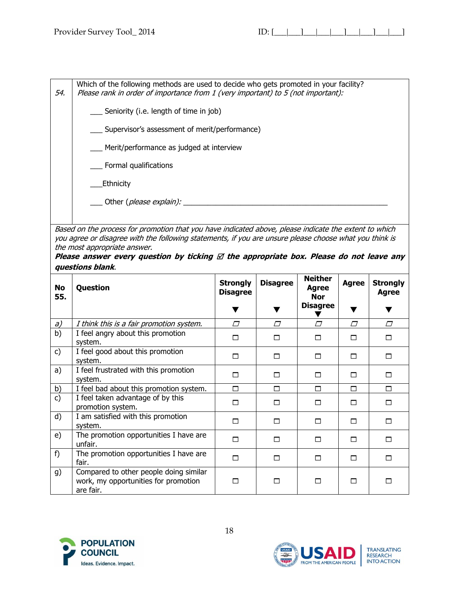54. Which of the following methods are used to decide who gets promoted in your facility? Please rank in order of importance from 1 (very important) to 5 (not important):

- \_\_\_ Seniority (i.e. length of time in job)
- \_\_\_ Supervisor's assessment of merit/performance)
- Merit/performance as judged at interview
- \_\_\_ Formal qualifications

\_\_\_Ethnicity

\_\_\_ Other (please explain): \_\_\_\_\_\_\_\_\_\_\_\_\_\_\_\_\_\_\_\_\_\_\_\_\_\_\_\_\_\_\_\_\_\_\_\_\_\_\_\_\_\_\_\_\_\_\_\_\_\_

Based on the process for promotion that you have indicated above, please indicate the extent to which you agree or disagree with the following statements, if you are unsure please choose what you think is the most appropriate answer.

| Please answer every question by ticking $\varnothing$ the appropriate box. Please do not leave any |  |  |  |  |  |
|----------------------------------------------------------------------------------------------------|--|--|--|--|--|
| questions blank.                                                                                   |  |  |  |  |  |

| No<br>55.     | Question                                                                                    | <b>Strongly</b><br><b>Disagree</b> | <b>Disagree</b> | <b>Neither</b><br><b>Agree</b><br><b>Nor</b> | <b>Agree</b> | <b>Strongly</b><br><b>Agree</b> |
|---------------|---------------------------------------------------------------------------------------------|------------------------------------|-----------------|----------------------------------------------|--------------|---------------------------------|
|               |                                                                                             |                                    |                 | <b>Disagree</b>                              |              |                                 |
| a)            | I think this is a fair promotion system.                                                    | $\sqrt{}$                          | $\Box$          | $\sqrt{}$                                    | $\sqrt{}$    | $\sqrt{}$                       |
| b)            | I feel angry about this promotion<br>system.                                                | п                                  | ⊓               | п                                            | ⊓            | П                               |
| $\mathsf{c}$  | I feel good about this promotion<br>system.                                                 | П                                  | п               | ⊓                                            | ⊓            | П                               |
| a)            | I feel frustrated with this promotion<br>system.                                            | □                                  | ш               | □                                            | п            | □                               |
| b)            | I feel bad about this promotion system.                                                     | п                                  | п               | П                                            | П            | П                               |
| $\mathsf{c})$ | I feel taken advantage of by this<br>promotion system.                                      | п                                  | ш               | п                                            | ⊓            | П                               |
| d)            | I am satisfied with this promotion<br>system.                                               | П                                  | ш               | п                                            | ⊓            | □                               |
| e)            | The promotion opportunities I have are<br>unfair.                                           | П                                  | ш               | □                                            | П            | □                               |
| f)            | The promotion opportunities I have are<br>fair.                                             | п                                  | п               | п                                            | ⊓            | $\Box$                          |
| g)            | Compared to other people doing similar<br>work, my opportunities for promotion<br>are fair. | ш                                  | ш               | ш                                            | П            | П                               |





**TRANSLATING** RESEARCH INTO ACTION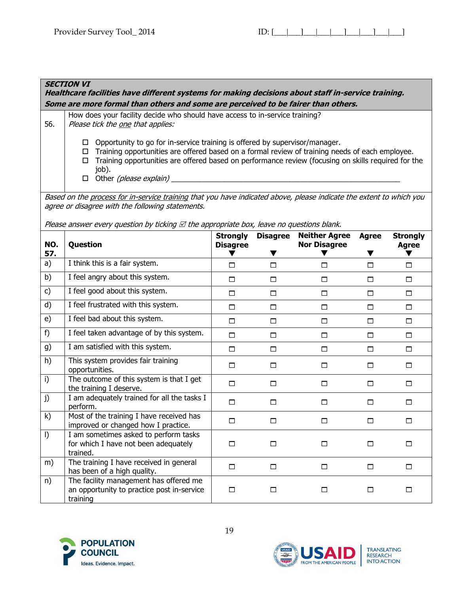#### **SECTION VI Healthcare facilities have different systems for making decisions about staff in-service training. Some are more formal than others and some are perceived to be fairer than others.**  56. How does your facility decide who should have access to in-service training? Please tick the one that applies:  $\Box$  Opportunity to go for in-service training is offered by supervisor/manager.  $\Box$  Training opportunities are offered based on a formal review of training needs of each employee.  $\Box$  Training opportunities are offered based on performance review (focusing on skills required for the job).  $\Box$  Other *(please explain)* Based on the process for in-service training that you have indicated above, please indicate the extent to which you agree or disagree with the following statements. Please answer every question by ticking  $\mathbb Z$  the appropriate box, leave no questions blank. **NO. 57. Question Strongly Disagree**  $\blacktriangledown$ **Disagree** ▼ **Neither Agree Nor Disagree** ▼ **Agree**  $\blacktriangledown$ **Strongly Agree**  $\blacktriangledown$ a) I think this is a fair system.  $\begin{array}{cccc} \Box & \Box & \Box & \Box & \Box & \Box & \Box \end{array}$ b) I feel angry about this system. c) I feel good about this system. d) I feel frustrated with this system. e) I feel bad about this system. f) | I feel taken advantage of by this system.  $\begin{array}{ccc} \Box & \Box & \Box & \Box \end{array}$ g) I am satisfied with this system. h) This system provides fair training opportunities. i) The outcome of this system is that I get the training I deserve. j)  $\vert$  I am adequately trained for all the tasks I perform. k)  $\blacksquare$  Most of the training I have received has  $\Box$  improved or changed how I practice.  $\Box$  $\vert$  I am sometimes asked to perform tasks for which I have not been adequately trained. m) The training I have received in general has been of a high quality. n) The facility management has offered me an opportunity to practice post in-service training





**TRANSLATING** RESEARCH INTO ACTION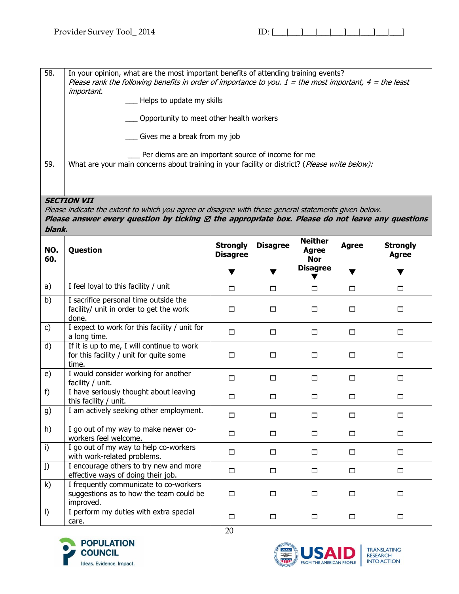58. In your opinion, what are the most important benefits of attending training events? Please rank the following benefits in order of importance to you.  $1 =$  the most important,  $4 =$  the least important. Helps to update my skills \_\_\_ Opportunity to meet other health workers Gives me a break from my job Per diems are an important source of income for me 59. What are your main concerns about training in your facility or district? (*Please write below):* **SECTION VII** Please indicate the extent to which you agree or disagree with these general statements given below. **Please answer every question by ticking**  $\varnothing$  **the appropriate box. Please do not leave any questions blank. NO. 60. Question CONSISTENT CONSISTENT Disagree**  $\blacktriangledown$ **Disagree**  $\blacktriangledown$ **Neither Agree Nor Disagree**  $\overline{\blacktriangledown}$ **Agree**  $\blacktriangledown$ **Strongly Agree**  $\blacktriangledown$ a) I feel loyal to this facility / unit  $\qquad \qquad$   $\qquad \qquad$   $\qquad \qquad$   $\qquad \qquad$   $\qquad \qquad$   $\qquad \qquad$   $\qquad \qquad$   $\qquad \qquad$   $\qquad \qquad$   $\qquad \qquad$   $\qquad \qquad$   $\qquad \qquad$   $\qquad \qquad$   $\qquad \qquad$   $\qquad \qquad$   $\qquad \qquad$   $\qquad \qquad$   $\qquad \qquad$   $\qquad \qquad$   $\qquad \qquad$  b)  $\vert$  I sacrifice personal time outside the facility/ unit in order to get the work done. 0 0 0 0 0 c)  $\vert$  I expect to work for this facility / unit for a long time.  $\Box$ d) If it is up to me, I will continue to work for this facility / unit for quite some time. e)  $\vert$  I would consider working for another facility / unit. 0 0 0 0 0  $f$  | I have seriously thought about leaving this facility / unit. 0 0 0 0 0 g) I am actively seeking other employment. h) I go out of my way to make newer co-Provided welcome.<br>Workers feel welcome. i)  $\vert$  I go out of my way to help co-workers  $\Box$  and  $\Box$ j)  $\vert$  I encourage others to try new and more effective ways of doing their job.  $k$ ) I frequently communicate to co-workers suggestions as to how the team could be improved.  $\vert$  I perform my duties with extra special care. 





20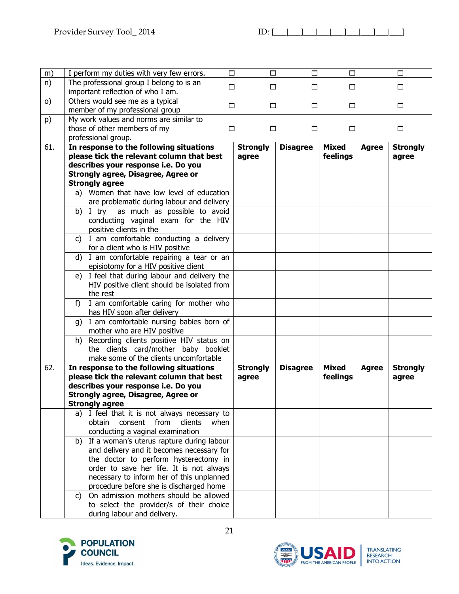| m)  | I perform my duties with very few errors.                                             | $\Box$ | $\Box$          | $\Box$          | $\Box$       |              | $\Box$          |
|-----|---------------------------------------------------------------------------------------|--------|-----------------|-----------------|--------------|--------------|-----------------|
| n)  | The professional group I belong to is an                                              |        |                 |                 |              |              |                 |
|     | important reflection of who I am.                                                     | $\Box$ | $\Box$          | $\Box$          | $\Box$       |              | $\Box$          |
| O   | Others would see me as a typical                                                      |        |                 |                 |              |              |                 |
|     | member of my professional group                                                       | □      | $\Box$          | $\Box$          | □            |              | $\Box$          |
| p)  | My work values and norms are similar to                                               |        |                 |                 |              |              |                 |
|     | those of other members of my                                                          | $\Box$ | □               | □               | □            |              | □               |
|     | professional group.                                                                   |        |                 |                 |              |              |                 |
| 61. | In response to the following situations                                               |        | <b>Strongly</b> | <b>Disagree</b> | <b>Mixed</b> | <b>Agree</b> | <b>Strongly</b> |
|     | please tick the relevant column that best                                             |        | agree           |                 | feelings     |              | agree           |
|     | describes your response i.e. Do you                                                   |        |                 |                 |              |              |                 |
|     | <b>Strongly agree, Disagree, Agree or</b>                                             |        |                 |                 |              |              |                 |
|     | <b>Strongly agree</b>                                                                 |        |                 |                 |              |              |                 |
|     | a) Women that have low level of education                                             |        |                 |                 |              |              |                 |
|     | are problematic during labour and delivery                                            |        |                 |                 |              |              |                 |
|     | as much as possible to avoid<br>b) I try                                              |        |                 |                 |              |              |                 |
|     | conducting vaginal exam for the HIV                                                   |        |                 |                 |              |              |                 |
|     | positive clients in the                                                               |        |                 |                 |              |              |                 |
|     | c) I am comfortable conducting a delivery                                             |        |                 |                 |              |              |                 |
|     | for a client who is HIV positive                                                      |        |                 |                 |              |              |                 |
|     | d) I am comfortable repairing a tear or an                                            |        |                 |                 |              |              |                 |
|     | episiotomy for a HIV positive client<br>e) I feel that during labour and delivery the |        |                 |                 |              |              |                 |
|     | HIV positive client should be isolated from                                           |        |                 |                 |              |              |                 |
|     | the rest                                                                              |        |                 |                 |              |              |                 |
|     | I am comfortable caring for mother who<br>$f$ )                                       |        |                 |                 |              |              |                 |
|     | has HIV soon after delivery                                                           |        |                 |                 |              |              |                 |
|     | g) I am comfortable nursing babies born of                                            |        |                 |                 |              |              |                 |
|     | mother who are HIV positive                                                           |        |                 |                 |              |              |                 |
|     | h) Recording clients positive HIV status on                                           |        |                 |                 |              |              |                 |
|     | the clients card/mother baby booklet                                                  |        |                 |                 |              |              |                 |
|     | make some of the clients uncomfortable                                                |        |                 |                 |              |              |                 |
| 62. | In response to the following situations                                               |        | <b>Strongly</b> | <b>Disagree</b> | <b>Mixed</b> | <b>Agree</b> | <b>Strongly</b> |
|     | please tick the relevant column that best                                             |        | agree           |                 | feelings     |              | agree           |
|     | describes your response i.e. Do you                                                   |        |                 |                 |              |              |                 |
|     | <b>Strongly agree, Disagree, Agree or</b>                                             |        |                 |                 |              |              |                 |
|     | <b>Strongly agree</b>                                                                 |        |                 |                 |              |              |                 |
|     | a) I feel that it is not always necessary to                                          |        |                 |                 |              |              |                 |
|     | obtain<br>consent<br>from<br>clients                                                  | when   |                 |                 |              |              |                 |
|     | conducting a vaginal examination                                                      |        |                 |                 |              |              |                 |
|     | b) If a woman's uterus rapture during labour                                          |        |                 |                 |              |              |                 |
|     | and delivery and it becomes necessary for<br>the doctor to perform hysterectomy in    |        |                 |                 |              |              |                 |
|     | order to save her life. It is not always                                              |        |                 |                 |              |              |                 |
|     | necessary to inform her of this unplanned                                             |        |                 |                 |              |              |                 |
|     | procedure before she is discharged home                                               |        |                 |                 |              |              |                 |
|     | On admission mothers should be allowed<br>C)                                          |        |                 |                 |              |              |                 |
|     | to select the provider/s of their choice                                              |        |                 |                 |              |              |                 |
|     | during labour and delivery.                                                           |        |                 |                 |              |              |                 |
|     |                                                                                       |        |                 |                 |              |              |                 |

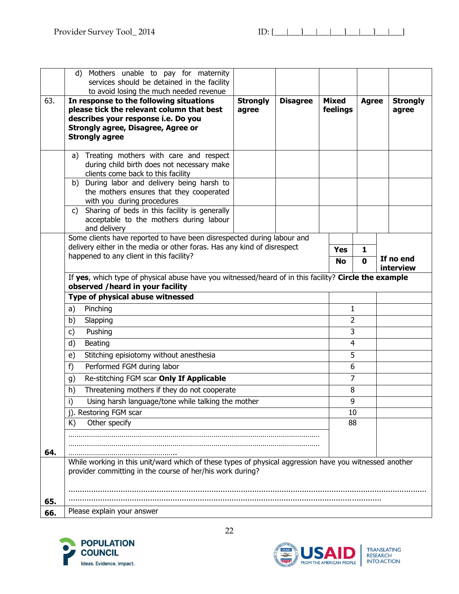|            | d) Mothers unable to pay for maternity<br>services should be detained in the facility<br>to avoid losing the much needed revenue                                                                  |                          |                 |                          |                   |                          |  |
|------------|---------------------------------------------------------------------------------------------------------------------------------------------------------------------------------------------------|--------------------------|-----------------|--------------------------|-------------------|--------------------------|--|
| 63.        | In response to the following situations<br>please tick the relevant column that best<br>describes your response i.e. Do you<br><b>Strongly agree, Disagree, Agree or</b><br><b>Strongly agree</b> | <b>Strongly</b><br>agree | <b>Disagree</b> | <b>Mixed</b><br>feelings | <b>Agree</b>      | <b>Strongly</b><br>agree |  |
|            | Treating mothers with care and respect<br>a)<br>during child birth does not necessary make<br>clients come back to this facility                                                                  |                          |                 |                          |                   |                          |  |
|            | During labor and delivery being harsh to<br>b)<br>the mothers ensures that they cooperated<br>with you during procedures                                                                          |                          |                 |                          |                   |                          |  |
|            | Sharing of beds in this facility is generally<br>C)<br>acceptable to the mothers during labour<br>and delivery                                                                                    |                          |                 |                          |                   |                          |  |
|            | Some clients have reported to have been disrespected during labour and<br>delivery either in the media or other foras. Has any kind of disrespect                                                 |                          |                 |                          |                   |                          |  |
|            | happened to any client in this facility?                                                                                                                                                          |                          |                 | <b>Yes</b><br><b>No</b>  | 1<br>$\mathbf{0}$ | If no end<br>interview   |  |
|            | If yes, which type of physical abuse have you witnessed/heard of in this facility? Circle the example<br>observed / heard in your facility                                                        |                          |                 |                          |                   |                          |  |
|            | Type of physical abuse witnessed                                                                                                                                                                  |                          |                 |                          |                   |                          |  |
|            | Pinching<br>a)                                                                                                                                                                                    |                          |                 | 1                        |                   |                          |  |
|            | b)<br>Slapping                                                                                                                                                                                    |                          |                 | 2                        |                   |                          |  |
|            | Pushing<br>c)                                                                                                                                                                                     |                          |                 | 3                        |                   |                          |  |
|            | Beating<br>d)                                                                                                                                                                                     |                          |                 | $\overline{4}$           |                   |                          |  |
|            | Stitching episiotomy without anesthesia<br>e)                                                                                                                                                     |                          |                 | 5                        |                   |                          |  |
|            | Performed FGM during labor<br>f)                                                                                                                                                                  |                          |                 | 6                        |                   |                          |  |
|            | Re-stitching FGM scar Only If Applicable<br>g)                                                                                                                                                    |                          |                 | $\overline{7}$           |                   |                          |  |
|            | h)<br>Threatening mothers if they do not cooperate                                                                                                                                                |                          |                 | 8                        |                   |                          |  |
|            | Using harsh language/tone while talking the mother<br>i)                                                                                                                                          |                          |                 | 9                        |                   |                          |  |
|            | j). Restoring FGM scar                                                                                                                                                                            |                          |                 | 10                       |                   |                          |  |
|            | Other specify<br>K)                                                                                                                                                                               |                          |                 | 88                       |                   |                          |  |
|            |                                                                                                                                                                                                   |                          |                 |                          |                   |                          |  |
| 64.        |                                                                                                                                                                                                   |                          |                 |                          |                   |                          |  |
|            | While working in this unit/ward which of these types of physical aggression have you witnessed another<br>provider committing in the course of her/his work during?                               |                          |                 |                          |                   |                          |  |
|            |                                                                                                                                                                                                   |                          |                 |                          |                   |                          |  |
|            |                                                                                                                                                                                                   |                          |                 |                          |                   |                          |  |
| 65.<br>66. | Please explain your answer                                                                                                                                                                        |                          |                 |                          |                   |                          |  |

22